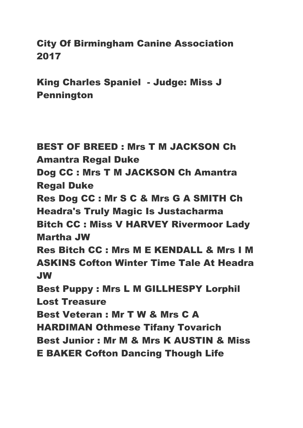City Of Birmingham Canine Association 2017

King Charles Spaniel - Judge: Miss J Pennington

BEST OF BREED : Mrs T M JACKSON Ch Amantra Regal Duke Dog CC : Mrs T M JACKSON Ch Amantra Regal Duke Res Dog CC : Mr S C & Mrs G A SMITH Ch Headra's Truly Magic Is Justacharma Bitch CC : Miss V HARVEY Rivermoor Lady Martha JW Res Bitch CC : Mrs M E KENDALL & Mrs I M ASKINS Cofton Winter Time Tale At Headra JW Best Puppy : Mrs L M GILLHESPY Lorphil Lost Treasure Best Veteran : Mr T W & Mrs C A HARDIMAN Othmese Tifany Tovarich Best Junior : Mr M & Mrs K AUSTIN & Miss E BAKER Cofton Dancing Though Life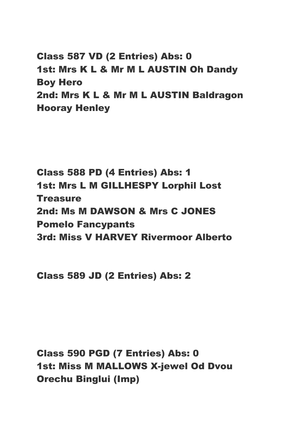Class 587 VD (2 Entries) Abs: 0 1st: Mrs K L & Mr M L AUSTIN Oh Dandy Boy Hero 2nd: Mrs K L & Mr M L AUSTIN Baldragon Hooray Henley

Class 588 PD (4 Entries) Abs: 1 1st: Mrs L M GILLHESPY Lorphil Lost **Treasure** 2nd: Ms M DAWSON & Mrs C JONES Pomelo Fancypants 3rd: Miss V HARVEY Rivermoor Alberto

Class 589 JD (2 Entries) Abs: 2

Class 590 PGD (7 Entries) Abs: 0 1st: Miss M MALLOWS X-jewel Od Dvou Orechu Binglui (Imp)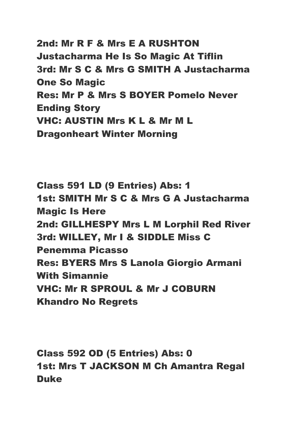2nd: Mr R F & Mrs E A RUSHTON Justacharma He Is So Magic At Tiflin 3rd: Mr S C & Mrs G SMITH A Justacharma One So Magic Res: Mr P & Mrs S BOYER Pomelo Never Ending Story VHC: AUSTIN Mrs K L & Mr M L Dragonheart Winter Morning

Class 591 LD (9 Entries) Abs: 1 1st: SMITH Mr S C & Mrs G A Justacharma Magic Is Here 2nd: GILLHESPY Mrs L M Lorphil Red River 3rd: WILLEY, Mr I & SIDDLE Miss C Penemma Picasso Res: BYERS Mrs S Lanola Giorgio Armani With Simannie VHC: Mr R SPROUL & Mr J COBURN Khandro No Regrets

Class 592 OD (5 Entries) Abs: 0 1st: Mrs T JACKSON M Ch Amantra Regal Duke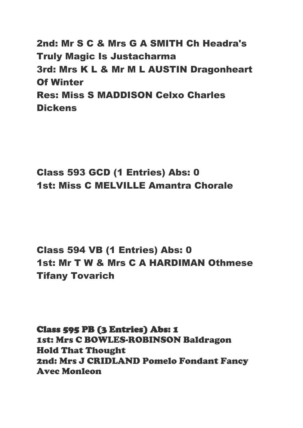2nd: Mr S C & Mrs G A SMITH Ch Headra's Truly Magic Is Justacharma 3rd: Mrs K L & Mr M L AUSTIN Dragonheart Of Winter Res: Miss S MADDISON Celxo Charles **Dickens** 

# Class 593 GCD (1 Entries) Abs: 0 1st: Miss C MELVILLE Amantra Chorale

Class 594 VB (1 Entries) Abs: 0 1st: Mr T W & Mrs C A HARDIMAN Othmese Tifany Tovarich

Class 595 PB (3 Entries) Abs: 1 1st: Mrs C BOWLES-ROBINSON Baldragon Hold That Thought 2nd: Mrs J CRIDLAND Pomelo Fondant Fancy Avec Monleon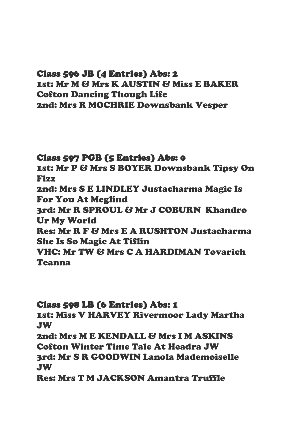# Class 596 JB (4 Entries) Abs: 2

1st: Mr M & Mrs K AUSTIN & Miss E BAKER Cofton Dancing Though Life 2nd: Mrs R MOCHRIE Downsbank Vesper

### Class 597 PGB (5 Entries) Abs: 0

1st: Mr P & Mrs S BOYER Downsbank Tipsy On Fizz

2nd: Mrs S E LINDLEY Justacharma Magic Is For You At Meglind

3rd: Mr R SPROUL & Mr J COBURN Khandro Ur My World

Res: Mr R F & Mrs E A RUSHTON Justacharma She Is So Magic At Tiflin

VHC: Mr TW & Mrs C A HARDIMAN Tovarich Teanna

#### Class 598 LB (6 Entries) Abs: 1

1st: Miss V HARVEY Rivermoor Lady Martha JW

2nd: Mrs M E KENDALL & Mrs I M ASKINS Cofton Winter Time Tale At Headra JW 3rd: Mr S R GOODWIN Lanola Mademoiselle JW

Res: Mrs T M JACKSON Amantra Truffle